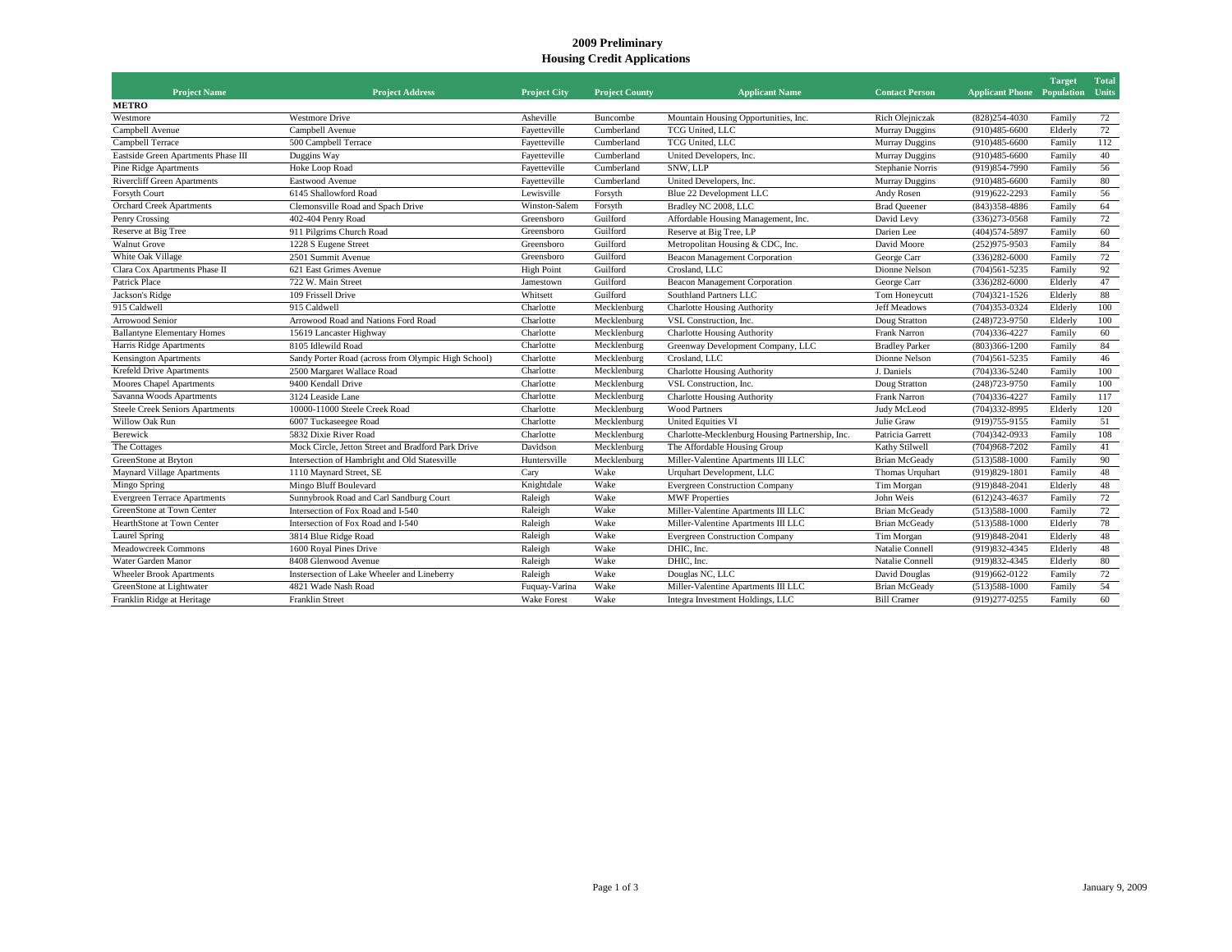## **2009 Preliminary Housing Credit Applications**

|                                     |                                                     |                     |                       |                                                 |                       |                                         | <b>Target</b> | <b>Total</b> |
|-------------------------------------|-----------------------------------------------------|---------------------|-----------------------|-------------------------------------------------|-----------------------|-----------------------------------------|---------------|--------------|
| <b>Project Name</b><br><b>METRO</b> | <b>Project Address</b>                              | <b>Project City</b> | <b>Project County</b> | <b>Applicant Name</b>                           | <b>Contact Person</b> | <b>Applicant Phone Population Units</b> |               |              |
| Westmore                            | <b>Westmore Drive</b>                               | Asheville           | Buncombe              | Mountain Housing Opportunities, Inc.            | Rich Olejniczak       | $(828)254 - 4030$                       | Family        | 72           |
| Campbell Avenue                     | Campbell Avenue                                     | Fayetteville        | Cumberland            | TCG United, LLC                                 | <b>Murray Duggins</b> | $(910)485 - 6600$                       | Elderly       | 72           |
| Campbell Terrace                    | 500 Campbell Terrace                                | Fayetteville        | Cumberland            | TCG United, LLC                                 | <b>Murray Duggins</b> | $(910)485 - 6600$                       | Family        | 112          |
| Eastside Green Apartments Phase III | Duggins Way                                         | Fayetteville        | Cumberland            | United Developers, Inc.                         | Murray Duggins        | $(910)485 - 6600$                       | Family        | 40           |
| <b>Pine Ridge Apartments</b>        | Hoke Loop Road                                      | Fayetteville        | Cumberland            | SNW, LLP                                        | Stephanie Norris      | (919) 854-7990                          | Family        | 56           |
| Rivercliff Green Apartments         | Eastwood Avenue                                     | Fayetteville        | Cumberland            | United Developers, Inc.                         | Murray Duggins        | $(910)485 - 6600$                       | Family        | 80           |
| Forsyth Court                       | 6145 Shallowford Road                               | Lewisville          | Forsyth               | Blue 22 Development LLC                         | Andy Rosen            | $(919)622 - 2293$                       | Family        | 56           |
| <b>Orchard Creek Apartments</b>     | Clemonsville Road and Spach Drive                   | Winston-Salem       | Forsyth               | Bradley NC 2008, LLC                            | <b>Brad Queener</b>   | $(843)358 - 4886$                       | Family        | 64           |
| Penry Crossing                      | 402-404 Penry Road                                  | Greensboro          | Guilford              | Affordable Housing Management, Inc.             | David Levy            | $(336)273-0568$                         | Family        | 72           |
| Reserve at Big Tree                 | 911 Pilgrims Church Road                            | Greensboro          | Guilford              | Reserve at Big Tree, LP                         | Darien Lee            | (404) 574-5897                          | Family        | 60           |
| <b>Walnut Grove</b>                 | 1228 S Eugene Street                                | Greensboro          | Guilford              | Metropolitan Housing & CDC, Inc.                | David Moore           | (252) 975-9503                          | Family        | 84           |
| White Oak Village                   | 2501 Summit Avenue                                  | Greensboro          | Guilford              | <b>Beacon Management Corporation</b>            | George Carr           | $(336)282 - 6000$                       | Family        | 72           |
| Clara Cox Apartments Phase II       | 621 East Grimes Avenue                              | <b>High Point</b>   | Guilford              | Crosland, LLC                                   | Dionne Nelson         | $(704)561 - 5235$                       | Family        | 92           |
| Patrick Place                       | 722 W. Main Street                                  | Jamestown           | Guilford              | <b>Beacon Management Corporation</b>            | George Carr           | $(336)282 - 6000$                       | Elderly       | 47           |
| Jackson's Ridge                     | 109 Frissell Drive                                  | Whitsett            | Guilford              | Southland Partners LLC                          | Tom Honeycutt         | $(704)321 - 1526$                       | Elderly       | 88           |
| 915 Caldwell                        | 915 Caldwell                                        | Charlotte           | Mecklenburg           | <b>Charlotte Housing Authority</b>              | <b>Jeff Meadows</b>   | $(704)353-0324$                         | Elderly       | 100          |
| <b>Arrowood Senior</b>              | Arrowood Road and Nations Ford Road                 | Charlotte           | Mecklenburg           | VSL Construction, Inc.                          | Doug Stratton         | $(248)723 - 9750$                       | Elderly       | 100          |
| <b>Ballantyne Elementary Homes</b>  | 15619 Lancaster Highway                             | Charlotte           | Mecklenburg           | <b>Charlotte Housing Authority</b>              | Frank Narron          | $(704)336 - 4227$                       | Family        | 60           |
| Harris Ridge Apartments             | 8105 Idlewild Road                                  | Charlotte           | Mecklenburg           | Greenway Development Company, LLC               | <b>Bradley Parker</b> | $(803)366 - 1200$                       | Family        | 84           |
| <b>Kensington Apartments</b>        | Sandy Porter Road (across from Olympic High School) | Charlotte           | Mecklenburg           | Crosland, LLC                                   | Dionne Nelson         | $(704)561 - 5235$                       | Family        | 46           |
| Krefeld Drive Apartments            | 2500 Margaret Wallace Road                          | Charlotte           | Mecklenburg           | <b>Charlotte Housing Authority</b>              | J. Daniels            | $(704)336 - 5240$                       | Family        | 100          |
| Moores Chapel Apartments            | 9400 Kendall Drive                                  | Charlotte           | Mecklenburg           | VSL Construction, Inc.                          | Doug Stratton         | $(248)723 - 9750$                       | Family        | 100          |
| Savanna Woods Apartments            | 3124 Leaside Lane                                   | Charlotte           | Mecklenburg           | <b>Charlotte Housing Authority</b>              | <b>Frank Narron</b>   | $(704)336 - 4227$                       | Family        | 117          |
| Steele Creek Seniors Apartments     | 10000-11000 Steele Creek Road                       | Charlotte           | Mecklenburg           | <b>Wood Partners</b>                            | Judy McLeod           | $(704)332 - 8995$                       | Elderly       | 120          |
| Willow Oak Run                      | 6007 Tuckaseegee Road                               | Charlotte           | Mecklenburg           | <b>United Equities VI</b>                       | Julie Graw            | (919) 755-9155                          | Family        | 51           |
| Berewick                            | 5832 Dixie River Road                               | Charlotte           | Mecklenburg           | Charlotte-Mecklenburg Housing Partnership, Inc. | Patricia Garrett      | $(704)342-0933$                         | Family        | 108          |
| The Cottages                        | Mock Circle, Jetton Street and Bradford Park Drive  | Davidson            | Mecklenburg           | The Affordable Housing Group                    | Kathy Stilwell        | $(704)968 - 7202$                       | Family        | 41           |
| GreenStone at Bryton                | Intersection of Hambright and Old Statesville       | Huntersville        | Mecklenburg           | Miller-Valentine Apartments III LLC             | <b>Brian McGeady</b>  | $(513)588-1000$                         | Family        | 90           |
| <b>Maynard Village Apartments</b>   | 1110 Maynard Street, SE                             | Cary                | Wake                  | Urquhart Development, LLC                       | Thomas Urquhart       | $(919)829-1801$                         | Family        | 48           |
| Mingo Spring                        | Mingo Bluff Boulevard                               | Knightdale          | Wake                  | <b>Evergreen Construction Company</b>           | Tim Morgan            | $(919)848 - 2041$                       | Elderly       | 48           |
| <b>Evergreen Terrace Apartments</b> | Sunnybrook Road and Carl Sandburg Court             | Raleigh             | Wake                  | <b>MWF Properties</b>                           | John Weis             | $(612)243 - 4637$                       | Family        | 72           |
| GreenStone at Town Center           | Intersection of Fox Road and I-540                  | Raleigh             | Wake                  | Miller-Valentine Apartments III LLC             | <b>Brian McGeady</b>  | $(513)588-1000$                         | Family        | 72           |
| HearthStone at Town Center          | Intersection of Fox Road and I-540                  | Raleigh             | Wake                  | Miller-Valentine Apartments III LLC             | <b>Brian McGeady</b>  | $(513)588-1000$                         | Elderly       | 78           |
| Laurel Spring                       | 3814 Blue Ridge Road                                | Raleigh             | Wake                  | <b>Evergreen Construction Company</b>           | Tim Morgan            | $(919)848 - 2041$                       | Elderly       | 48           |
| <b>Meadowcreek Commons</b>          | 1600 Royal Pines Drive                              | Raleigh             | Wake                  | DHIC. Inc.                                      | Natalie Connell       | (919) 832-4345                          | Elderly       | 48           |
| Water Garden Manor                  | 8408 Glenwood Avenue                                | Raleigh             | Wake                  | DHIC. Inc.                                      | Natalie Connell       | (919) 832-4345                          | Elderly       | 80           |
| <b>Wheeler Brook Apartments</b>     | Instersection of Lake Wheeler and Lineberry         | Raleigh             | Wake                  | Douglas NC, LLC                                 | David Douglas         | $(919)662 - 0122$                       | Family        | 72           |
| GreenStone at Lightwater            | 4821 Wade Nash Road                                 | Fuquay-Varina       | Wake                  | Miller-Valentine Apartments III LLC             | <b>Brian McGeady</b>  | $(513)588-1000$                         | Family        | 54           |
| Franklin Ridge at Heritage          | <b>Franklin Street</b>                              | <b>Wake Forest</b>  | Wake                  | Integra Investment Holdings, LLC                | <b>Bill Cramer</b>    | (919)277-0255                           | Family        | 60           |
|                                     |                                                     |                     |                       |                                                 |                       |                                         |               |              |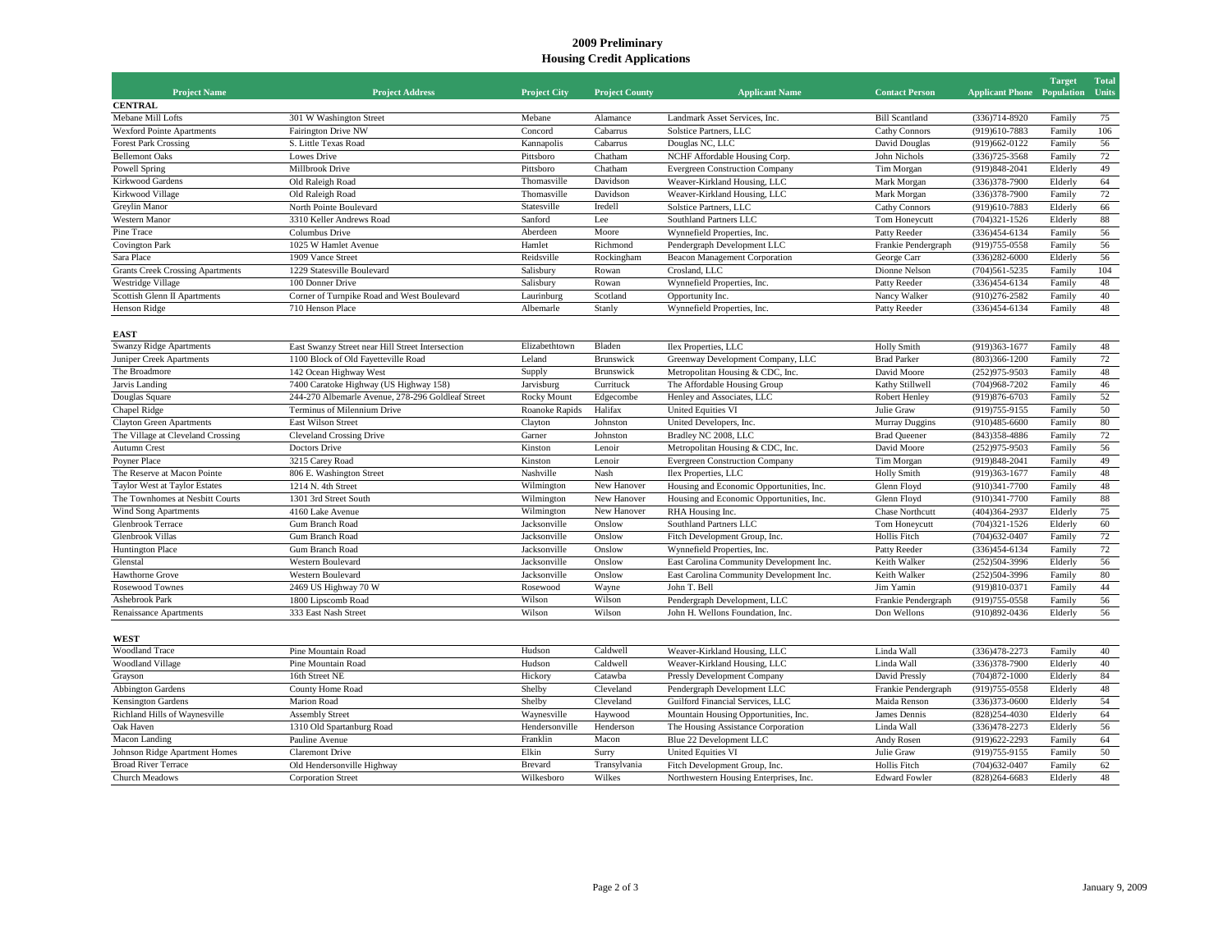## **2009 Preliminary Housing Credit Applications**

| <b>Project Name</b>                     | <b>Project Address</b>                            | <b>Project City</b> | <b>Project County</b> | <b>Applicant Name</b>                    | <b>Contact Person</b>  | <b>Applicant Phone Population Units</b> | <b>Target</b> | <b>Total</b> |
|-----------------------------------------|---------------------------------------------------|---------------------|-----------------------|------------------------------------------|------------------------|-----------------------------------------|---------------|--------------|
| <b>CENTRAL</b>                          |                                                   |                     |                       |                                          |                        |                                         |               |              |
| Mebane Mill Lofts                       | 301 W Washington Street                           | Mebane              | Alamance              | Landmark Asset Services, Inc.            | <b>Bill Scantland</b>  | $(336)714 - 8920$                       | Family        | 75           |
| <b>Wexford Pointe Apartments</b>        | Fairington Drive NW                               | Concord             | Cabarrus              | Solstice Partners, LLC                   | <b>Cathy Connors</b>   | (919)610-7883                           | Family        | 106          |
| <b>Forest Park Crossing</b>             | S. Little Texas Road                              | Kannapolis          | Cabarrus              | Douglas NC, LLC                          | David Douglas          | $(919)662 - 0122$                       | Family        | 56           |
| <b>Bellemont Oaks</b>                   | Lowes Drive                                       | Pittsboro           | Chatham               | NCHF Affordable Housing Corp.            | John Nichols           | $(336)725 - 3568$                       | Family        | 72           |
| Powell Spring                           | Millbrook Drive                                   | Pittsboro           | Chatham               | <b>Evergreen Construction Company</b>    | Tim Morgan             | (919) 848-2041                          | Elderly       | 49           |
| Kirkwood Gardens                        | Old Raleigh Road                                  | Thomasville         | Davidson              | Weaver-Kirkland Housing, LLC             | Mark Morgan            | (336) 378-7900                          | Elderly       | 64           |
| Kirkwood Village                        | Old Raleigh Road                                  | Thomasville         | Davidson              | Weaver-Kirkland Housing, LLC             | Mark Morgan            | $(336)378-7900$                         | Family        | 72           |
| Greylin Manor                           | North Pointe Boulevard                            | Statesville         | Iredell               | Solstice Partners, LLC                   | <b>Cathy Connors</b>   | (919)610-7883                           | Elderly       | 66           |
| Western Manor                           | 3310 Keller Andrews Road                          | Sanford             | Lee                   | Southland Partners LLC                   | Tom Honeycutt          | $(704)321 - 1526$                       | Elderly       | 88           |
| Pine Trace                              | Columbus Drive                                    | Aberdeen            | Moore                 | Wynnefield Properties, Inc.              | Patty Reeder           | $(336)454 - 6134$                       | Family        | 56           |
| <b>Covington Park</b>                   | 1025 W Hamlet Avenue                              | Hamlet              | Richmond              | Pendergraph Development LLC              | Frankie Pendergraph    | $(919)755 - 0558$                       | Family        | 56           |
| Sara Place                              | 1909 Vance Street                                 | Reidsville          | Rockingham            | <b>Beacon Management Corporation</b>     | George Carr            | $(336)282 - 6000$                       | Elderly       | 56           |
| <b>Grants Creek Crossing Apartments</b> | 1229 Statesville Boulevard                        | Salisbury           | Rowan                 | Crosland, LLC                            | Dionne Nelson          | $(704)561 - 5235$                       | Family        | 104          |
| Westridge Village                       | 100 Donner Drive                                  | Salisbury           | Rowan                 | Wynnefield Properties, Inc.              | Patty Reeder           | $(336)454-6134$                         | Family        | 48           |
| Scottish Glenn II Apartments            | Corner of Turnpike Road and West Boulevard        | Laurinburg          | Scotland              | Opportunity Inc.                         | Nancy Walker           | $(910)276 - 2582$                       | Family        | 40           |
| Henson Ridge                            | 710 Henson Place                                  | Albemarle           | Stanly                | Wynnefield Properties, Inc.              | Patty Reeder           | $(336)454 - 6134$                       | Family        | 48           |
| EAST                                    |                                                   |                     |                       |                                          |                        |                                         |               |              |
| <b>Swanzy Ridge Apartments</b>          | East Swanzy Street near Hill Street Intersection  | Elizabethtown       | Bladen                | Ilex Properties, LLC                     | <b>Holly Smith</b>     | $(919)363 - 1677$                       | Family        | 48           |
| Juniper Creek Apartments                | 1100 Block of Old Fayetteville Road               | Leland              | Brunswick             | Greenway Development Company, LLC        | <b>Brad Parker</b>     | $(803)366 - 1200$                       | Family        | 72           |
| The Broadmore                           | 142 Ocean Highway West                            | Supply              | Brunswick             | Metropolitan Housing & CDC, Inc.         | David Moore            | $(252)975 - 9503$                       | Family        | 48           |
| Jarvis Landing                          | 7400 Caratoke Highway (US Highway 158)            | Jarvisburg          | Currituck             | The Affordable Housing Group             | Kathy Stillwell        | (704)968-7202                           | Family        | 46           |
| Douglas Square                          | 244-270 Albemarle Avenue, 278-296 Goldleaf Street | Rocky Mount         | Edgecombe             | Henley and Associates, LLC               | Robert Henley          | (919) 876-6703                          | Family        | 52           |
| Chapel Ridge                            | Terminus of Milennium Drive                       | Roanoke Rapids      | Halifax               | <b>United Equities VI</b>                | Julie Graw             | (919) 755-9155                          | Family        | 50           |
| <b>Clayton Green Apartments</b>         | East Wilson Street                                | Clayton             | Johnston              | United Developers, Inc.                  | Murray Duggins         | $(910)485 - 6600$                       | Family        | $80\,$       |
| The Village at Cleveland Crossing       | <b>Cleveland Crossing Drive</b>                   | Garner              | Johnston              | Bradley NC 2008, LLC                     | <b>Brad Queener</b>    | $(843)358 - 4886$                       | Family        | 72           |
| <b>Autumn Crest</b>                     | Doctors Drive                                     | Kinston             | Lenoir                | Metropolitan Housing & CDC, Inc.         | David Moore            | $(252)975 - 9503$                       | Family        | 56           |
| Poyner Place                            | 3215 Carey Road                                   | Kinston             | Lenoir                | <b>Evergreen Construction Company</b>    | Tim Morgan             | $(919)848 - 2041$                       | Family        | 49           |
| The Reserve at Macon Pointe             | 806 E. Washington Street                          | Nashville           | Nash                  | Ilex Properties, LLC                     | <b>Holly Smith</b>     | $(919)363 - 1677$                       | Family        | 48           |
| <b>Taylor West at Taylor Estates</b>    | 1214 N. 4th Street                                | Wilmington          | New Hanover           | Housing and Economic Opportunities, Inc. | Glenn Floyd            | $(910)341 - 7700$                       | Family        | 48           |
| The Townhomes at Nesbitt Courts         | 1301 3rd Street South                             | Wilmington          | New Hanover           | Housing and Economic Opportunities, Inc. | Glenn Floyd            | $(910)341 - 7700$                       | Family        | 88           |
| <b>Wind Song Apartments</b>             | 4160 Lake Avenue                                  | Wilmington          | New Hanover           | RHA Housing Inc.                         | <b>Chase Northcutt</b> | (404)364-2937                           | Elderly       | 75           |
| <b>Glenbrook Terrace</b>                | Gum Branch Road                                   | Jacksonville        | Onslow                | Southland Partners LLC                   | Tom Honeycutt          | $(704)321 - 1526$                       | Elderly       | 60           |
| Glenbrook Villas                        | Gum Branch Road                                   | Jacksonville        | Onslow                | Fitch Development Group, Inc.            | <b>Hollis Fitch</b>    | $(704)632 - 0407$                       | Family        | 72           |
| <b>Huntington Place</b>                 | Gum Branch Road                                   | Jacksonville        | Onslow                | Wynnefield Properties, Inc.              | Patty Reeder           | $(336)454-6134$                         | Family        | 72           |
| Glenstal                                | Western Boulevard                                 | Jacksonville        | Onslow                | East Carolina Community Development Inc. | Keith Walker           | $(252)504-3996$                         | Elderly       | 56           |
| Hawthorne Grove                         | Western Boulevard                                 | Jacksonville        | Onslow                | East Carolina Community Development Inc. | Keith Walker           | $(252)504 - 3996$                       | Family        | 80           |
| <b>Rosewood Townes</b>                  | 2469 US Highway 70 W                              | Rosewood            | Wayne                 | John T. Bell                             | Jim Yamin              | $(919)810-0371$                         | Family        | 44           |
| Ashebrook Park                          | 1800 Lipscomb Road                                | Wilson              | Wilson                | Pendergraph Development, LLC             | Frankie Pendergraph    | $(919)755 - 0558$                       | Family        | 56           |
| Renaissance Apartments                  | 333 East Nash Street                              | Wilson              | Wilson                | John H. Wellons Foundation, Inc.         | Don Wellons            | (910)892-0436                           | Elderly       | 56           |

**WEST**

| <b>Woodland Trace</b>         | Pine Mountain Road         | Hudson         | Caldwell     | Weaver-Kirkland Housing, LLC           | Linda Wall           | (336)478-2273     | Family  | 40  |
|-------------------------------|----------------------------|----------------|--------------|----------------------------------------|----------------------|-------------------|---------|-----|
| <b>Woodland Village</b>       | Pine Mountain Road         | Hudson         | Caldwell     | Weaver-Kirkland Housing, LLC           | Linda Wall           | $(336)378-7900$   | Elderly | 40  |
| Grayson                       | 16th Street NE             | Hickory        | Catawba      | Pressly Development Company            | David Pressly        | $(704)872 - 1000$ | Elderly | -84 |
| <b>Abbington Gardens</b>      | <b>County Home Road</b>    | Shelby         | Cleveland    | Pendergraph Development LLC            | Frankie Pendergraph  | $(919)755 - 0558$ | Elderly | -48 |
| <b>Kensington Gardens</b>     | <b>Marion Road</b>         | Shelby         | Cleveland    | Guilford Financial Services, LLC       | Maida Renson         | $(336)373-0600$   | Elderly | -54 |
| Richland Hills of Waynesville | <b>Assembly Street</b>     | Waynesville    | Haywood      | Mountain Housing Opportunities, Inc.   | James Dennis         | $(828)254 - 4030$ | Elderly | 64  |
| Oak Haven                     | 1310 Old Spartanburg Road  | Hendersonville | Henderson    | The Housing Assistance Corporation     | Linda Wall           | $(336)478 - 2273$ | Elderly | -56 |
| Macon Landing                 | Pauline Avenue             | Franklin       | Macon        | Blue 22 Development LLC                | Andy Rosen           | $(919)622 - 2293$ | Family  | -64 |
| Johnson Ridge Apartment Homes | Claremont Drive            | Elkin          | Surry        | United Equities VI                     | Julie Graw           | $(919)755-9155$   | Family  | 50  |
| <b>Broad River Terrace</b>    | Old Hendersonville Highway | Brevard        | Transylvania | Fitch Development Group, Inc.          | Hollis Fitch         | $(704)632 - 0407$ | Family  | 62  |
| Church Meadows                | <b>Corporation Street</b>  | Wilkesboro     | Wilkes       | Northwestern Housing Enterprises, Inc. | <b>Edward Fowler</b> | $(828)264 - 6683$ | Elderly | 48  |